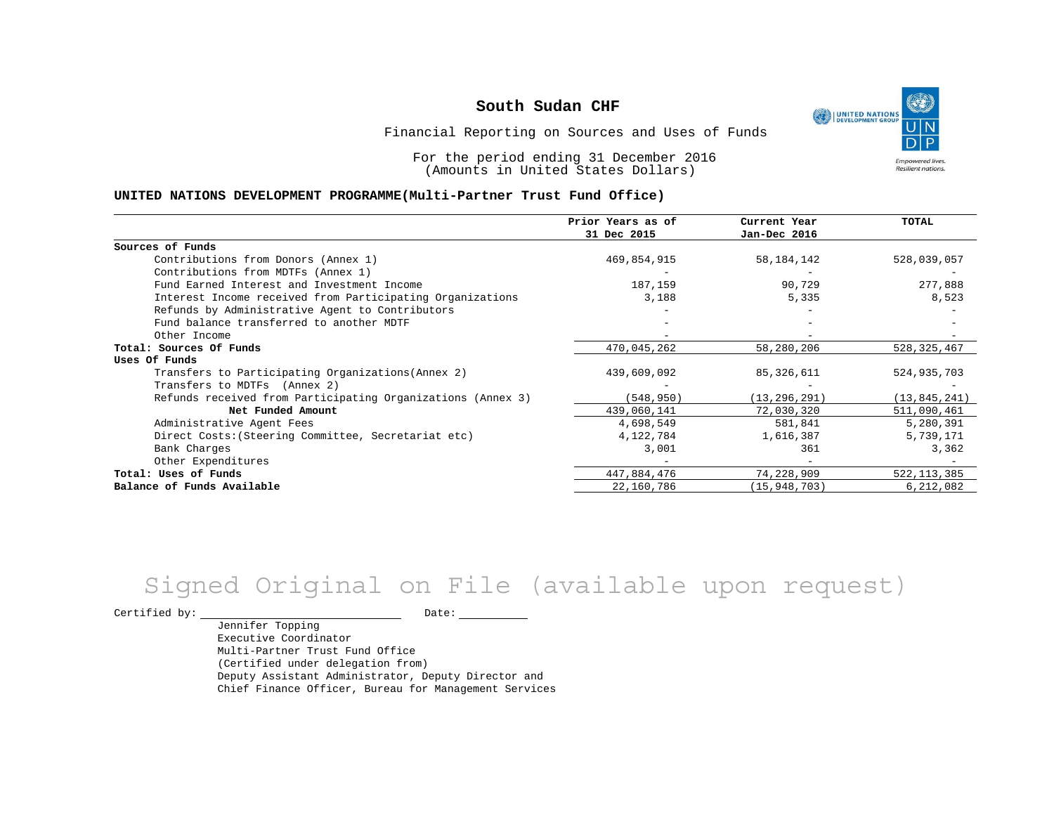١ UNITED NATIONS **Empowered lives** Resilient nations.

Financial Reporting on Sources and Uses of Funds

For the period ending 31 December 2016 (Amounts in United States Dollars)

#### **UNITED NATIONS DEVELOPMENT PROGRAMME(Multi-Partner Trust Fund Office)**

|                                                             | Prior Years as of | Current Year   | <b>TOTAL</b>   |
|-------------------------------------------------------------|-------------------|----------------|----------------|
|                                                             | 31 Dec 2015       | Jan-Dec 2016   |                |
| Sources of Funds                                            |                   |                |                |
| Contributions from Donors (Annex 1)                         | 469,854,915       | 58, 184, 142   | 528,039,057    |
| Contributions from MDTFs (Annex 1)                          |                   |                |                |
| Fund Earned Interest and Investment Income                  | 187,159           | 90,729         | 277,888        |
| Interest Income received from Participating Organizations   | 3,188             | 5,335          | 8,523          |
| Refunds by Administrative Agent to Contributors             |                   |                |                |
| Fund balance transferred to another MDTF                    |                   |                |                |
| Other Income                                                |                   |                |                |
| Total: Sources Of Funds                                     | 470,045,262       | 58,280,206     | 528, 325, 467  |
| Uses Of Funds                                               |                   |                |                |
| Transfers to Participating Organizations (Annex 2)          | 439,609,092       | 85,326,611     | 524,935,703    |
| Transfers to MDTFs (Annex 2)                                |                   |                |                |
| Refunds received from Participating Organizations (Annex 3) | (548,950)         | (13, 296, 291) | (13, 845, 241) |
| Net Funded Amount                                           | 439,060,141       | 72,030,320     | 511,090,461    |
| Administrative Agent Fees                                   | 4,698,549         | 581,841        | 5,280,391      |
| Direct Costs: (Steering Committee, Secretariat etc)         | 4,122,784         | 1,616,387      | 5,739,171      |
| Bank Charges                                                | 3,001             | 361            | 3,362          |
| Other Expenditures                                          |                   |                |                |
| Total: Uses of Funds                                        | 447,884,476       | 74,228,909     | 522, 113, 385  |
| Balance of Funds Available                                  | 22,160,786        | (15, 948, 703) | 6,212,082      |

# Signed Original on File (available upon request)

Certified by: Date:

Jennifer Topping Executive Coordinator Multi-Partner Trust Fund Office (Certified under delegation from) Deputy Assistant Administrator, Deputy Director and Chief Finance Officer, Bureau for Management Services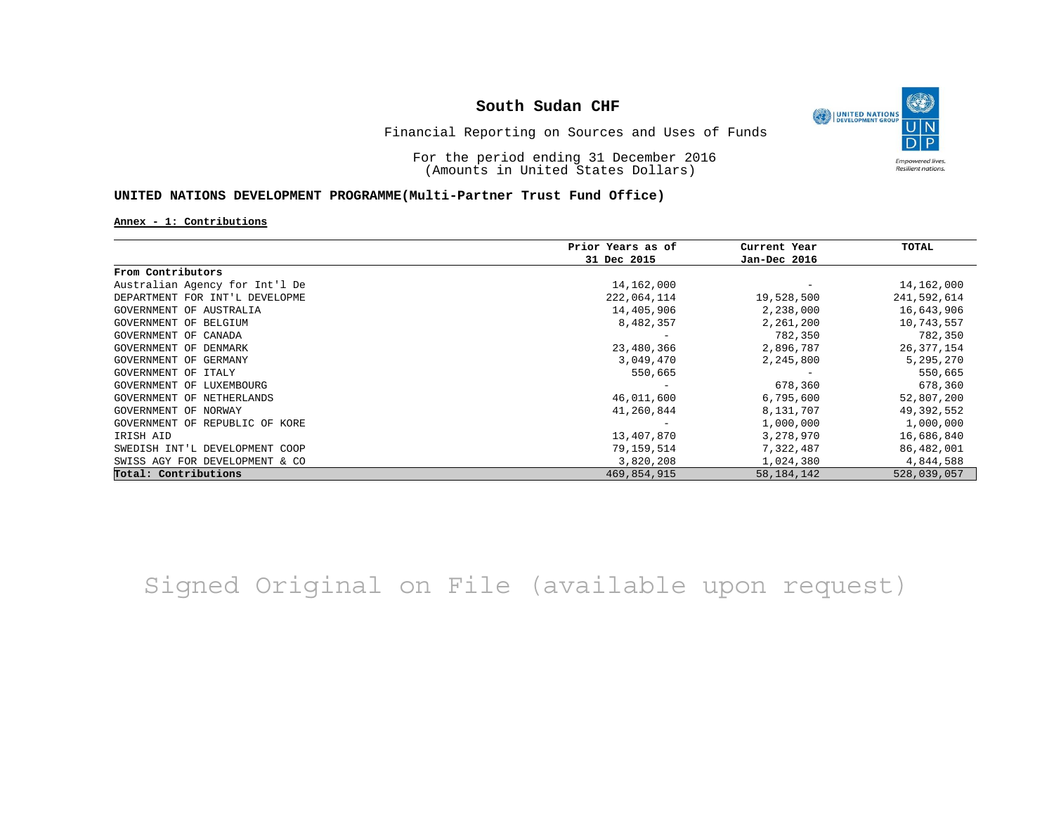

Financial Reporting on Sources and Uses of Funds

For the period ending 31 December 2016 (Amounts in United States Dollars)

### **UNITED NATIONS DEVELOPMENT PROGRAMME(Multi-Partner Trust Fund Office)**

**Annex - 1: Contributions**

|                                | Prior Years as of | Current Year | TOTAL        |
|--------------------------------|-------------------|--------------|--------------|
|                                | 31 Dec 2015       | Jan-Dec 2016 |              |
| From Contributors              |                   |              |              |
| Australian Agency for Int'l De | 14,162,000        |              | 14,162,000   |
| DEPARTMENT FOR INT'L DEVELOPME | 222,064,114       | 19,528,500   | 241,592,614  |
| GOVERNMENT OF AUSTRALIA        | 14,405,906        | 2,238,000    | 16,643,906   |
| GOVERNMENT OF BELGIUM          | 8,482,357         | 2,261,200    | 10,743,557   |
| GOVERNMENT OF CANADA           |                   | 782,350      | 782,350      |
| GOVERNMENT OF DENMARK          | 23,480,366        | 2,896,787    | 26, 377, 154 |
| GOVERNMENT OF GERMANY          | 3,049,470         | 2,245,800    | 5,295,270    |
| GOVERNMENT OF ITALY            | 550,665           |              | 550,665      |
| GOVERNMENT OF LUXEMBOURG       |                   | 678,360      | 678,360      |
| GOVERNMENT OF NETHERLANDS      | 46,011,600        | 6,795,600    | 52,807,200   |
| GOVERNMENT OF NORWAY           | 41,260,844        | 8,131,707    | 49,392,552   |
| GOVERNMENT OF REPUBLIC OF KORE |                   | 1,000,000    | 1,000,000    |
| IRISH AID                      | 13,407,870        | 3,278,970    | 16,686,840   |
| SWEDISH INT'L DEVELOPMENT COOP | 79,159,514        | 7,322,487    | 86,482,001   |
| SWISS AGY FOR DEVELOPMENT & CO | 3,820,208         | 1,024,380    | 4,844,588    |
| Total: Contributions           | 469,854,915       | 58, 184, 142 | 528,039,057  |

## Signed Original on File (available upon request)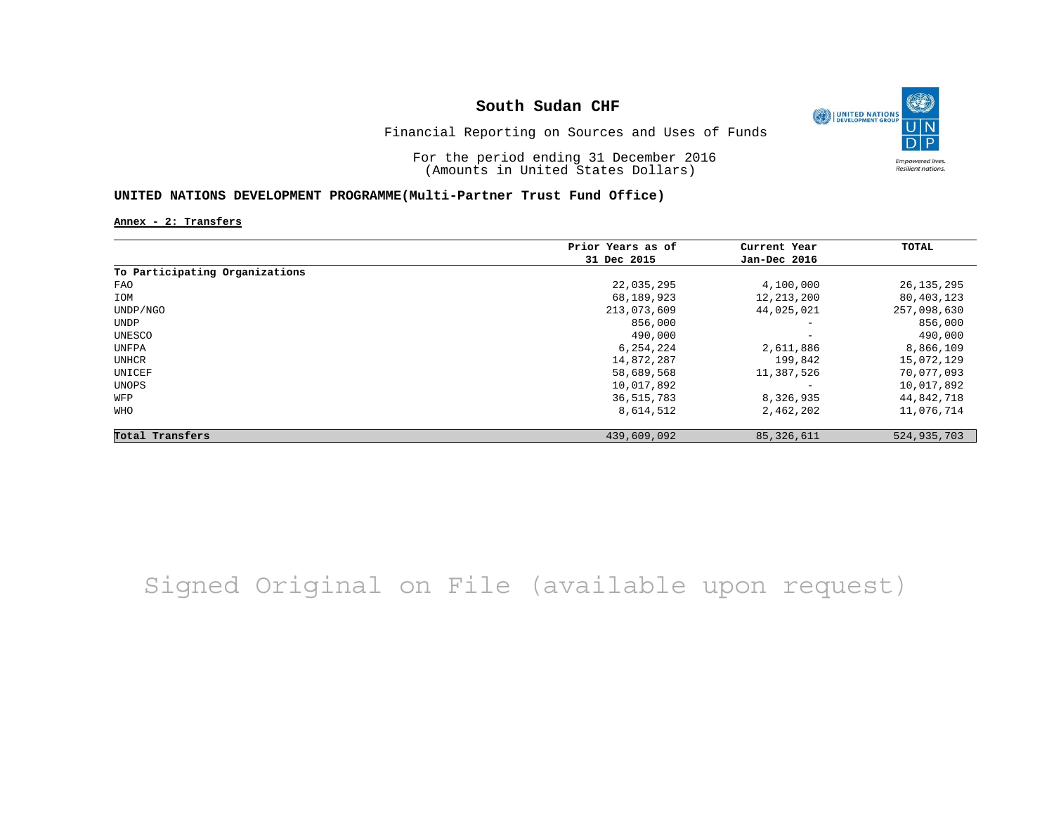

Financial Reporting on Sources and Uses of Funds

For the period ending 31 December 2016 (Amounts in United States Dollars)

### **UNITED NATIONS DEVELOPMENT PROGRAMME(Multi-Partner Trust Fund Office)**

**Annex - 2: Transfers**

|                                | Prior Years as of | Current Year             | TOTAL        |
|--------------------------------|-------------------|--------------------------|--------------|
|                                | 31 Dec 2015       | Jan-Dec 2016             |              |
| To Participating Organizations |                   |                          |              |
| FAO                            | 22,035,295        | 4,100,000                | 26, 135, 295 |
| IOM                            | 68,189,923        | 12, 213, 200             | 80,403,123   |
| UNDP/NGO                       | 213,073,609       | 44,025,021               | 257,098,630  |
| UNDP                           | 856,000           | $\overline{\phantom{a}}$ | 856,000      |
| UNESCO                         | 490,000           | $\overline{\phantom{a}}$ | 490,000      |
| UNFPA                          | 6,254,224         | 2,611,886                | 8,866,109    |
| UNHCR                          | 14,872,287        | 199,842                  | 15,072,129   |
| UNICEF                         | 58,689,568        | 11,387,526               | 70,077,093   |
| UNOPS                          | 10,017,892        | $\overline{\phantom{a}}$ | 10,017,892   |
| WFP                            | 36,515,783        | 8,326,935                | 44,842,718   |
| <b>WHO</b>                     | 8,614,512         | 2,462,202                | 11,076,714   |
| Total Transfers                | 439,609,092       | 85, 326, 611             | 524,935,703  |

Signed Original on File (available upon request)